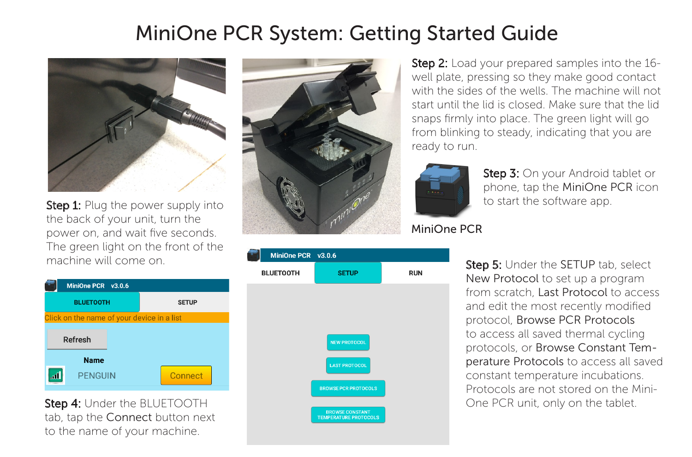## MiniOne PCR System: Getting Started Guide



**Step 1:** Plug the power supply into the back of your unit, turn the power on, and wait five seconds. The green light on the front of the machine will come on.



Step 4: Under the BLUETOOTH tab, tap the Connect button next to the name of your machine.





**Step 2:** Load your prepared samples into the 16well plate, pressing so they make good contact with the sides of the wells. The machine will not start until the lid is closed. Make sure that the lid snaps firmly into place. The green light will go from blinking to steady, indicating that you are ready to run.



Step 3: On your Android tablet or phone, tap the MiniOne PCR icon to start the software app.

## MiniOne PCR

Step 5: Under the SETUP tab, select New Protocol to set up a program from scratch, Last Protocol to access and edit the most recently modified protocol, Browse PCR Protocols to access all saved thermal cycling protocols, or Browse Constant Temperature Protocols to access all saved constant temperature incubations. Protocols are not stored on the Mini-One PCR unit, only on the tablet.